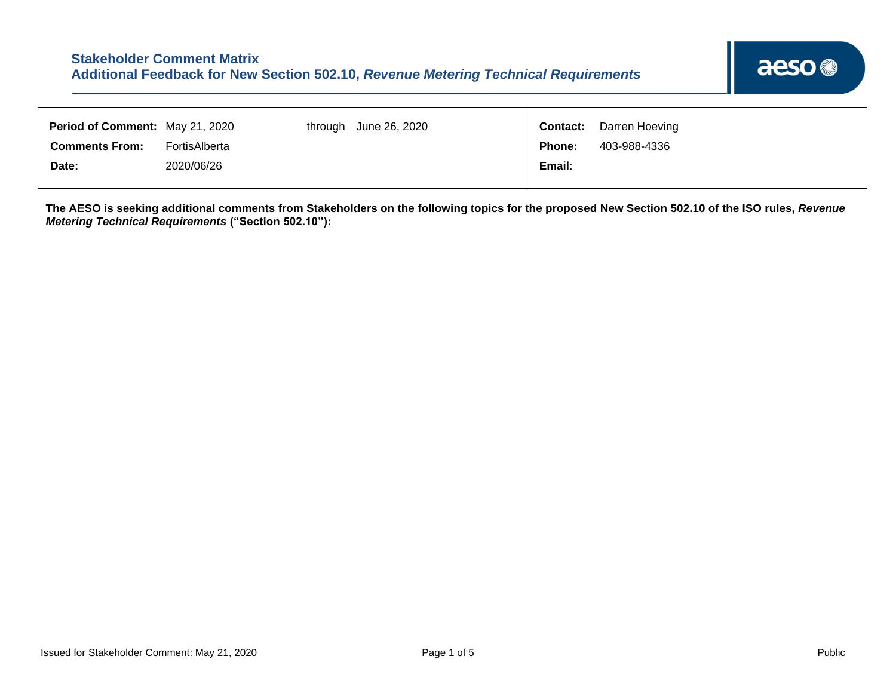| 403-988-4336<br><b>Comments From:</b><br><b>Phone:</b><br>FortisAlberta<br>2020/06/26<br>Email:<br>Date: | Period of Comment: May 21, 2020 |  | through June 26, 2020 | <b>Contact:</b> | Darren Hoeving |
|----------------------------------------------------------------------------------------------------------|---------------------------------|--|-----------------------|-----------------|----------------|
|                                                                                                          |                                 |  |                       |                 |                |
|                                                                                                          |                                 |  |                       |                 |                |

**The AESO is seeking additional comments from Stakeholders on the following topics for the proposed New Section 502.10 of the ISO rules,** *Revenue Metering Technical Requirements* **("Section 502.10"):**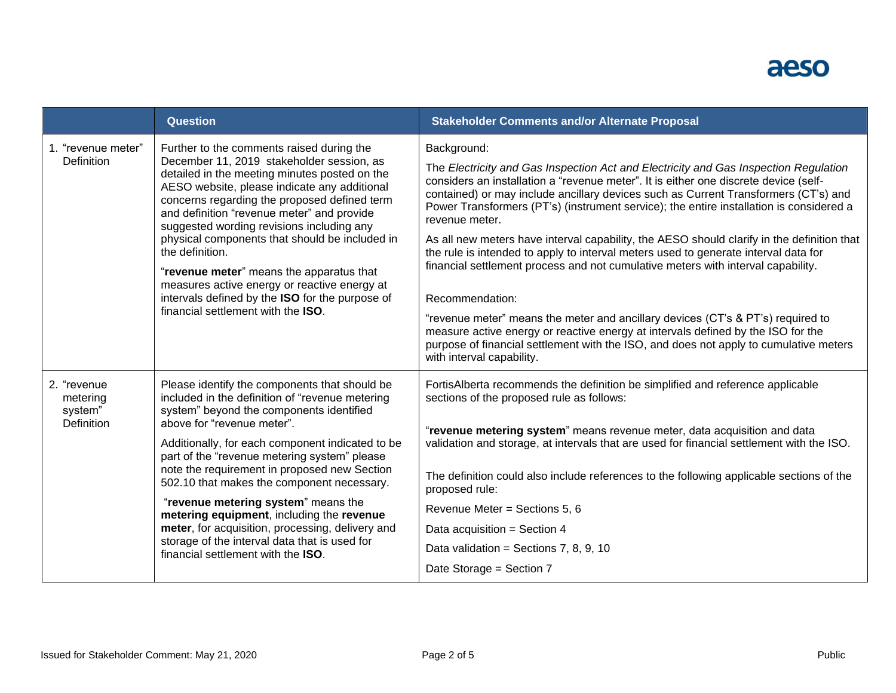## aeso

|                                                  | <b>Question</b>                                                                                                                                                                                                                                                                                                                                                                                                                                                                                                                                                                                             | <b>Stakeholder Comments and/or Alternate Proposal</b>                                                                                                                                                                                                                                                                                                                                                                                                                                                                                                                                                                                                                                                                                                                                                                                                                                                                                                                                    |
|--------------------------------------------------|-------------------------------------------------------------------------------------------------------------------------------------------------------------------------------------------------------------------------------------------------------------------------------------------------------------------------------------------------------------------------------------------------------------------------------------------------------------------------------------------------------------------------------------------------------------------------------------------------------------|------------------------------------------------------------------------------------------------------------------------------------------------------------------------------------------------------------------------------------------------------------------------------------------------------------------------------------------------------------------------------------------------------------------------------------------------------------------------------------------------------------------------------------------------------------------------------------------------------------------------------------------------------------------------------------------------------------------------------------------------------------------------------------------------------------------------------------------------------------------------------------------------------------------------------------------------------------------------------------------|
| 1. "revenue meter"<br><b>Definition</b>          | Further to the comments raised during the<br>December 11, 2019 stakeholder session, as<br>detailed in the meeting minutes posted on the<br>AESO website, please indicate any additional<br>concerns regarding the proposed defined term<br>and definition "revenue meter" and provide<br>suggested wording revisions including any<br>physical components that should be included in<br>the definition.<br>"revenue meter" means the apparatus that<br>measures active energy or reactive energy at<br>intervals defined by the ISO for the purpose of<br>financial settlement with the ISO.                | Background:<br>The Electricity and Gas Inspection Act and Electricity and Gas Inspection Regulation<br>considers an installation a "revenue meter". It is either one discrete device (self-<br>contained) or may include ancillary devices such as Current Transformers (CT's) and<br>Power Transformers (PT's) (instrument service); the entire installation is considered a<br>revenue meter.<br>As all new meters have interval capability, the AESO should clarify in the definition that<br>the rule is intended to apply to interval meters used to generate interval data for<br>financial settlement process and not cumulative meters with interval capability.<br>Recommendation:<br>"revenue meter" means the meter and ancillary devices (CT's & PT's) required to<br>measure active energy or reactive energy at intervals defined by the ISO for the<br>purpose of financial settlement with the ISO, and does not apply to cumulative meters<br>with interval capability. |
| 2. "revenue<br>metering<br>system"<br>Definition | Please identify the components that should be<br>included in the definition of "revenue metering<br>system" beyond the components identified<br>above for "revenue meter".<br>Additionally, for each component indicated to be<br>part of the "revenue metering system" please<br>note the requirement in proposed new Section<br>502.10 that makes the component necessary.<br>"revenue metering system" means the<br>metering equipment, including the revenue<br>meter, for acquisition, processing, delivery and<br>storage of the interval data that is used for<br>financial settlement with the ISO. | FortisAlberta recommends the definition be simplified and reference applicable<br>sections of the proposed rule as follows:<br>"revenue metering system" means revenue meter, data acquisition and data<br>validation and storage, at intervals that are used for financial settlement with the ISO.<br>The definition could also include references to the following applicable sections of the<br>proposed rule:<br>Revenue Meter = Sections 5, 6<br>Data acquisition = Section 4<br>Data validation = Sections 7, 8, 9, 10<br>Date Storage = Section 7                                                                                                                                                                                                                                                                                                                                                                                                                                |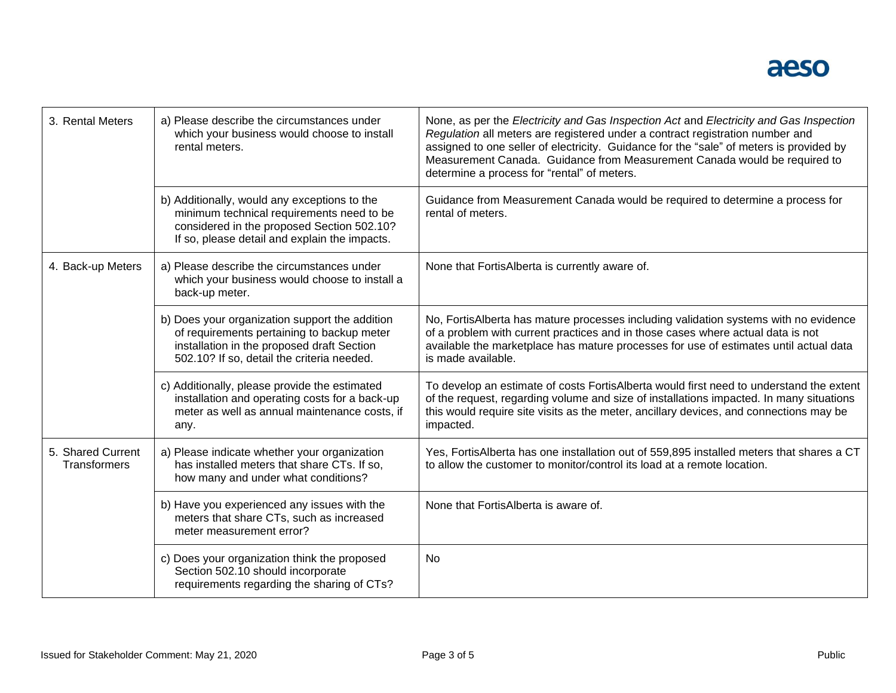| 3. Rental Meters                         | a) Please describe the circumstances under<br>which your business would choose to install<br>rental meters.                                                                              | None, as per the Electricity and Gas Inspection Act and Electricity and Gas Inspection<br>Regulation all meters are registered under a contract registration number and<br>assigned to one seller of electricity. Guidance for the "sale" of meters is provided by<br>Measurement Canada. Guidance from Measurement Canada would be required to<br>determine a process for "rental" of meters. |
|------------------------------------------|------------------------------------------------------------------------------------------------------------------------------------------------------------------------------------------|------------------------------------------------------------------------------------------------------------------------------------------------------------------------------------------------------------------------------------------------------------------------------------------------------------------------------------------------------------------------------------------------|
|                                          | b) Additionally, would any exceptions to the<br>minimum technical requirements need to be<br>considered in the proposed Section 502.10?<br>If so, please detail and explain the impacts. | Guidance from Measurement Canada would be required to determine a process for<br>rental of meters.                                                                                                                                                                                                                                                                                             |
| 4. Back-up Meters                        | a) Please describe the circumstances under<br>which your business would choose to install a<br>back-up meter.                                                                            | None that FortisAlberta is currently aware of.                                                                                                                                                                                                                                                                                                                                                 |
|                                          | b) Does your organization support the addition<br>of requirements pertaining to backup meter<br>installation in the proposed draft Section<br>502.10? If so, detail the criteria needed. | No, FortisAlberta has mature processes including validation systems with no evidence<br>of a problem with current practices and in those cases where actual data is not<br>available the marketplace has mature processes for use of estimates until actual data<br>is made available.                                                                                                         |
|                                          | c) Additionally, please provide the estimated<br>installation and operating costs for a back-up<br>meter as well as annual maintenance costs, if<br>any.                                 | To develop an estimate of costs FortisAlberta would first need to understand the extent<br>of the request, regarding volume and size of installations impacted. In many situations<br>this would require site visits as the meter, ancillary devices, and connections may be<br>impacted.                                                                                                      |
| 5. Shared Current<br><b>Transformers</b> | a) Please indicate whether your organization<br>has installed meters that share CTs. If so,<br>how many and under what conditions?                                                       | Yes, FortisAlberta has one installation out of 559,895 installed meters that shares a CT<br>to allow the customer to monitor/control its load at a remote location.                                                                                                                                                                                                                            |
|                                          | b) Have you experienced any issues with the<br>meters that share CTs, such as increased<br>meter measurement error?                                                                      | None that FortisAlberta is aware of.                                                                                                                                                                                                                                                                                                                                                           |
|                                          | c) Does your organization think the proposed<br>Section 502.10 should incorporate<br>requirements regarding the sharing of CTs?                                                          | <b>No</b>                                                                                                                                                                                                                                                                                                                                                                                      |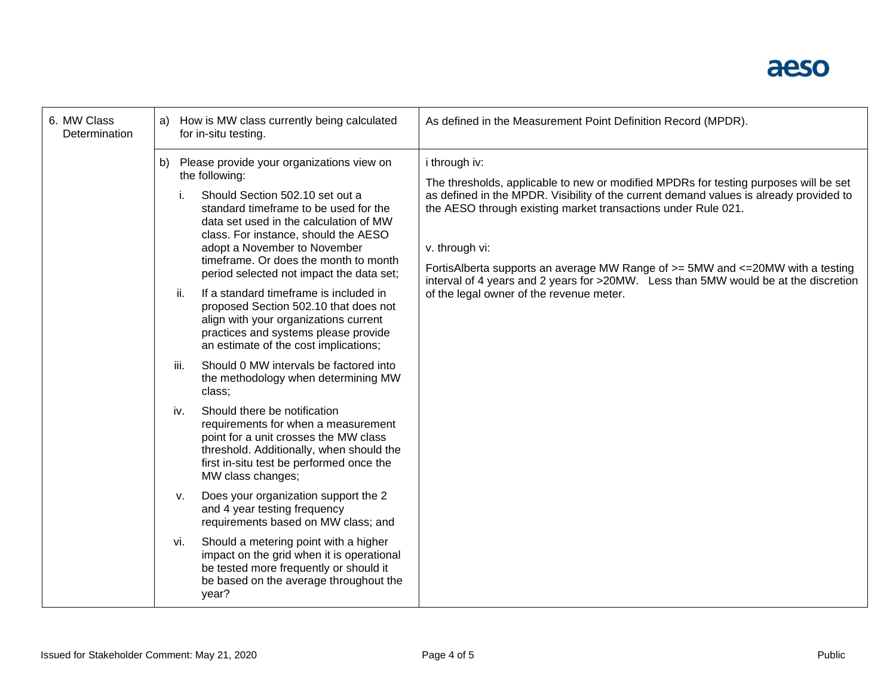## aeso

| 6. MW Class<br><b>Determination</b> | How is MW class currently being calculated<br>a)<br>for in-situ testing.                                                                                                                                                                                                                                                                                                                                                                                                                                                                                                                                                                                                                                                                                                                                                                                                                   | As defined in the Measurement Point Definition Record (MPDR).                                                                                                                                                                                                                                                                                                                                                                                                                                            |
|-------------------------------------|--------------------------------------------------------------------------------------------------------------------------------------------------------------------------------------------------------------------------------------------------------------------------------------------------------------------------------------------------------------------------------------------------------------------------------------------------------------------------------------------------------------------------------------------------------------------------------------------------------------------------------------------------------------------------------------------------------------------------------------------------------------------------------------------------------------------------------------------------------------------------------------------|----------------------------------------------------------------------------------------------------------------------------------------------------------------------------------------------------------------------------------------------------------------------------------------------------------------------------------------------------------------------------------------------------------------------------------------------------------------------------------------------------------|
|                                     | Please provide your organizations view on<br>b)<br>the following:<br>Should Section 502.10 set out a<br>standard timeframe to be used for the<br>data set used in the calculation of MW<br>class. For instance, should the AESO<br>adopt a November to November<br>timeframe. Or does the month to month<br>period selected not impact the data set;<br>ii.<br>If a standard timeframe is included in<br>proposed Section 502.10 that does not<br>align with your organizations current<br>practices and systems please provide<br>an estimate of the cost implications;<br>iii.<br>Should 0 MW intervals be factored into<br>the methodology when determining MW<br>class;<br>Should there be notification<br>iv.<br>requirements for when a measurement<br>point for a unit crosses the MW class<br>threshold. Additionally, when should the<br>first in-situ test be performed once the | i through iv:<br>The thresholds, applicable to new or modified MPDRs for testing purposes will be set<br>as defined in the MPDR. Visibility of the current demand values is already provided to<br>the AESO through existing market transactions under Rule 021.<br>v. through vi:<br>FortisAlberta supports an average MW Range of >= 5MW and <= 20MW with a testing<br>interval of 4 years and 2 years for >20MW. Less than 5MW would be at the discretion<br>of the legal owner of the revenue meter. |
|                                     | MW class changes;<br>Does your organization support the 2<br>v.<br>and 4 year testing frequency<br>requirements based on MW class; and<br>Should a metering point with a higher<br>vi.<br>impact on the grid when it is operational<br>be tested more frequently or should it<br>be based on the average throughout the<br>year?                                                                                                                                                                                                                                                                                                                                                                                                                                                                                                                                                           |                                                                                                                                                                                                                                                                                                                                                                                                                                                                                                          |